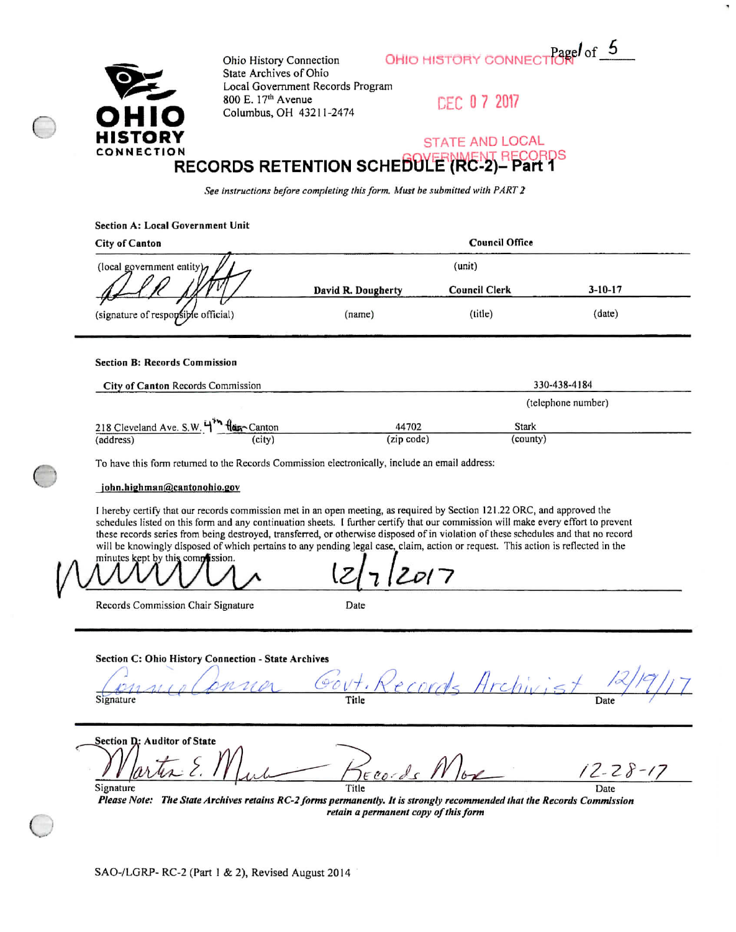Pagel of  $5$ OHIO HISTORY CONNECT



Ohio History Connection State Archives of Ohio Local Government Records Program 800 E. 17th Avenue Columbus, OH 43211-2474

 $\cdots$ 

DEC 07 2017

#### **STATE AND LOCAL** CORDS **RECORDS RETENTION SCHEDULE (RC-2)**  $-$  Part 1

See instructions before completing this form. Must be submitted with PART 2

| Section A: Local Government Unit     |                    |                       |               |  |
|--------------------------------------|--------------------|-----------------------|---------------|--|
| <b>City of Canton</b>                |                    | <b>Council Office</b> |               |  |
| (local government entity) $\sigma$   |                    | (unit)                |               |  |
|                                      | David R. Dougherty | <b>Council Clerk</b>  | $3 - 10 - 17$ |  |
| (signature of responsible official)  | (name)             | (title)               | (date)        |  |
| <b>Section B: Records Commission</b> |                    |                       |               |  |
|                                      |                    |                       |               |  |
| City of Canton Records Commission    |                    |                       | 330-438-4184  |  |

| $- \cdot - \cdot$                      |            | (telephone number) |  |  |
|----------------------------------------|------------|--------------------|--|--|
| 218 Cleveland Ave. S.W. 4th Han-Canton | 44702      | <b>Stark</b>       |  |  |
| (city)<br>(address)                    | (zip code) | (county)           |  |  |

To have this form returned to the Records Commission electronically, include an email address:

### john.highman@cantonohio.gov

I hereby certify that our records commission met in an open meeting, as required by Section 121.22 ORC, and approved the schedules listed on this form and any continuation sheets. I further certify that our commission will make every effort to prevent these records series from being destroyed, transferred, or otherwise disposed of in violation of these schedules and that no record will be knowingly disposed of which pertains to any pending legal case, claim, action or request. This action is reflected in the

minutes kept by this complission.

Records Commission Chair Signature

|   | ٠ | ٠ | ٠<br>ï | ÷<br>٠ |
|---|---|---|--------|--------|
| i |   |   |        |        |
|   |   |   |        |        |
|   |   |   | ٠      | ٦      |

Section C: Ohio History Connection - State Archives

Signature Title Date

Section D: Auditor of State  $2 - 28 - 17$  $ECO$ Signature Title Date

Please Note: The State Archives retains RC-2 forms permanently. It is strongly recommended that the Records Commission retain a permanent copy of this form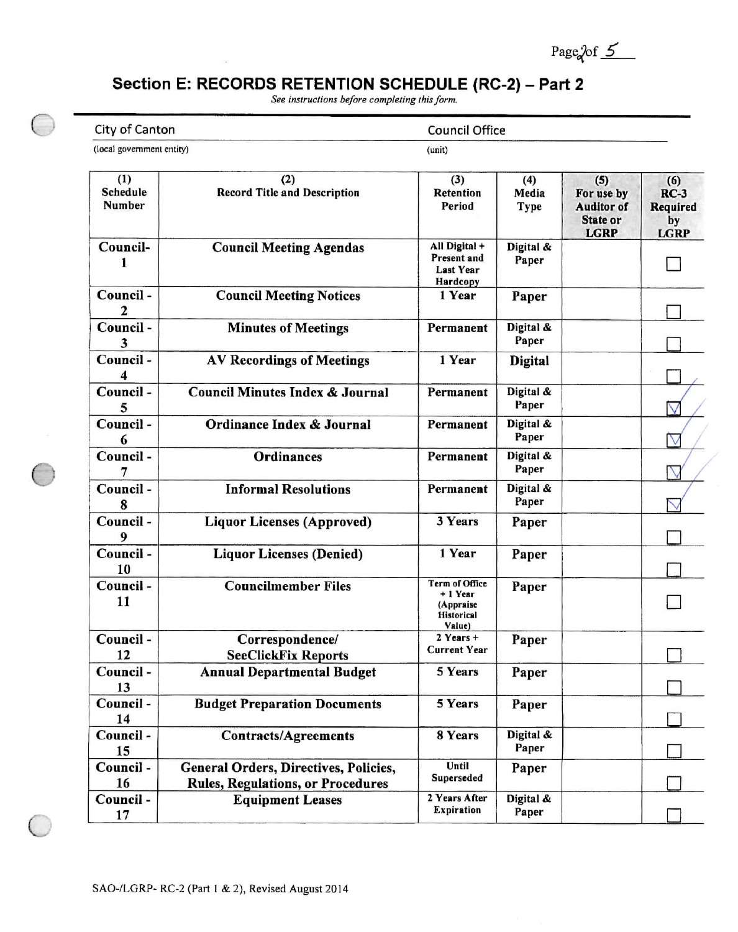Page  $2 \text{ of } 5$ 

## Section E: RECORDS RETENTION SCHEDULE (RC-2) - Part 2

See instructions before completing this form.

City of Canton

**Council Office** 

(local government entity)

 $\Box$ 

(unit)

| (1)<br>Schedule<br>Number | (2)<br><b>Record Title and Description</b>                                        | (3)<br><b>Retention</b><br>Period                                             | (4)<br>Media<br><b>Type</b> | (5)<br>For use by<br><b>Auditor of</b><br>State or<br><b>LGRP</b> | (6)<br>$RC-3$<br><b>Required</b><br>by<br><b>LGRP</b> |
|---------------------------|-----------------------------------------------------------------------------------|-------------------------------------------------------------------------------|-----------------------------|-------------------------------------------------------------------|-------------------------------------------------------|
| Council-<br>1             | <b>Council Meeting Agendas</b>                                                    | All Digital +<br>Present and<br><b>Last Year</b><br>Hardcopy                  | Digital &<br>Paper          |                                                                   |                                                       |
| Council-<br>2             | <b>Council Meeting Notices</b>                                                    | 1 Year                                                                        | Paper                       |                                                                   |                                                       |
| Council-                  | <b>Minutes of Meetings</b>                                                        | Permanent                                                                     | Digital &<br>Paper          |                                                                   |                                                       |
| Council-<br>4             | <b>AV Recordings of Meetings</b>                                                  | 1 Year                                                                        | <b>Digital</b>              |                                                                   |                                                       |
| Council-                  | <b>Council Minutes Index &amp; Journal</b>                                        | Permanent                                                                     | Digital &<br>Paper          |                                                                   | ٧                                                     |
| Council-<br>6             | Ordinance Index & Journal                                                         | Permanent                                                                     | Digital &<br>Paper          |                                                                   | $\rm\scriptstyle\rm V$                                |
| Council-<br>7             | <b>Ordinances</b>                                                                 | Permanent                                                                     | Digital &<br>Paper          |                                                                   |                                                       |
| Council-<br>8             | <b>Informal Resolutions</b>                                                       | Permanent                                                                     | Digital &<br>Paper          |                                                                   |                                                       |
| Council-<br>9             | <b>Liquor Licenses (Approved)</b>                                                 | 3 Years                                                                       | Paper                       |                                                                   |                                                       |
| Council -<br>10           | <b>Liquor Licenses (Denied)</b>                                                   | 1 Year                                                                        | Paper                       |                                                                   |                                                       |
| Council -<br>11           | <b>Councilmember Files</b>                                                        | <b>Term of Office</b><br>+ 1 Year<br>(Appraise<br><b>Historical</b><br>Value) | Paper                       |                                                                   |                                                       |
| Council-<br>12            | Correspondence/<br><b>SeeClickFix Reports</b>                                     | $2$ Years +<br><b>Current Year</b>                                            | Paper                       |                                                                   |                                                       |
| Council-<br>13            | <b>Annual Departmental Budget</b>                                                 | 5 Years                                                                       | Paper                       |                                                                   |                                                       |
| Council-<br>14            | <b>Budget Preparation Documents</b>                                               | 5 Years                                                                       | Paper                       |                                                                   |                                                       |
| Council -<br>15           | <b>Contracts/Agreements</b>                                                       | 8 Years                                                                       | Digital &<br>Paper          |                                                                   |                                                       |
| Council -<br>16           | General Orders, Directives, Policies,<br><b>Rules, Regulations, or Procedures</b> | Until<br>Superseded                                                           | Paper                       |                                                                   |                                                       |
| Council-<br>17            | <b>Equipment Leases</b>                                                           | 2 Years After<br><b>Expiration</b>                                            | Digital &<br>Paper          |                                                                   |                                                       |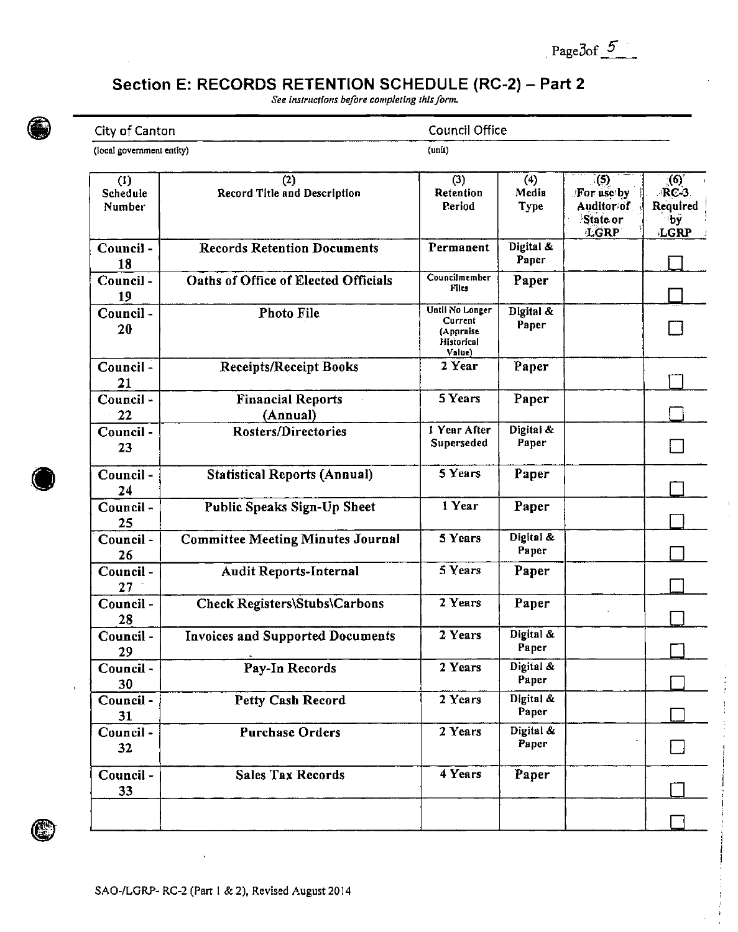Page3of 5

 $\frac{1}{2}$ 

## Section E: RECORDS RETENTION SCHEDULE (RC-2) - Part 2

See instructions before completing this form.



## City of Canton (local government entity)

**Council Office**  $(unit)$ 

| (1)<br>Schedule<br>Number | (2)<br>Record Title and Description         | (3)<br>Retention<br>Period                                      | (4)<br>Media<br><b>Type</b> | $\zeta(5)$<br>For use by<br>Auditor of<br>State or<br><b>LGRP</b> | $\mathcal{L}(\mathbf{0})$<br>RC-3<br>Required<br>by.<br>LGRP |
|---------------------------|---------------------------------------------|-----------------------------------------------------------------|-----------------------------|-------------------------------------------------------------------|--------------------------------------------------------------|
| Council-<br>18            | <b>Records Retention Documents</b>          | Permanent                                                       | Digital &<br>Paper          |                                                                   |                                                              |
| Council-<br>19            | <b>Oaths of Office of Elected Officials</b> | Councilmember<br>Files                                          | Paper                       |                                                                   |                                                              |
| Council-<br>20            | <b>Photo File</b>                           | Until No Longer<br>Current<br>(Appraise<br>Historical<br>Value) | Digital &<br>Paper          |                                                                   |                                                              |
| Council-<br>21            | <b>Receipts/Receipt Books</b>               | 2 Year                                                          | Paper                       |                                                                   |                                                              |
| Council -<br>22           | <b>Financial Reports</b><br>(Annual)        | 5 Years                                                         | Paper                       |                                                                   |                                                              |
| Council -<br>23           | <b>Rosters/Directories</b>                  | 1 Year After<br>Superseded                                      | Digital &<br>Paper          |                                                                   |                                                              |
| Council-<br>24            | <b>Statistical Reports (Annual)</b>         | 5 Years                                                         | Paper                       |                                                                   |                                                              |
| Council-<br>25            | Public Speaks Sign-Up Sheet                 | 1 Year                                                          | Paper                       |                                                                   |                                                              |
| Council-<br>26            | <b>Committee Meeting Minutes Journal</b>    | 5 Years                                                         | Digital &<br>Paper          |                                                                   |                                                              |
| Council-<br>27            | <b>Audit Reports-Internal</b>               | 5 Years                                                         | Paper                       |                                                                   |                                                              |
| Council-<br>28            | Check Registers\Stubs\Carbons               | 2 Years                                                         | Paper                       |                                                                   |                                                              |
| Council-<br>29            | <b>Invoices and Supported Documents</b>     | 2 Years                                                         | Digital &<br>Paper          |                                                                   |                                                              |
| Council -<br>30           | Pay-In Records                              | 2 Years                                                         | Digital &<br>Paper          |                                                                   |                                                              |
| Council -<br>31           | <b>Petty Cash Record</b>                    | 2 Years                                                         | Digital &<br>Paper          |                                                                   |                                                              |
| Council-<br>32            | <b>Purchase Orders</b>                      | 2 Years                                                         | Digital &<br>Paper          |                                                                   |                                                              |
| Council-<br>33            | <b>Sales Tax Records</b>                    | 4 Years                                                         | Paper                       |                                                                   |                                                              |
|                           |                                             |                                                                 |                             |                                                                   |                                                              |



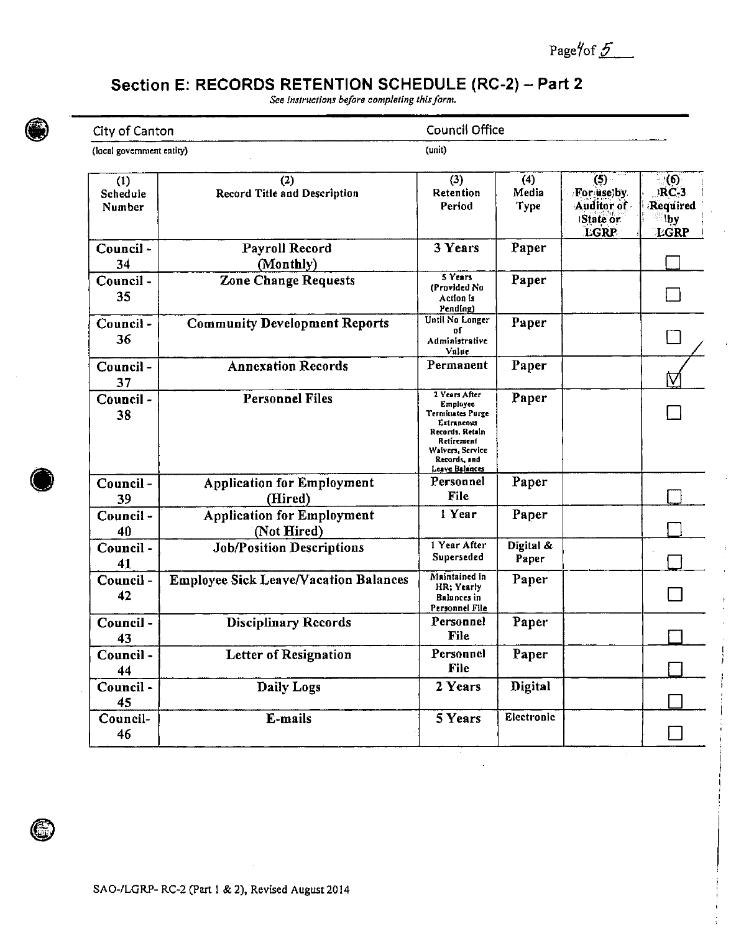Page/of 5

## Section E: RECORDS RETENTION SCHEDULE (RC-2) - Part 2

See instructions before completing this form.



#### City of Canton  $\frac{1}{1000}$  $\overline{\cdots}$

**Council Office**  $\overline{t}$ 

| (1)<br>Schedule<br>Number. | (2)<br><b>Record Title and Description</b>       | (3)<br>Retention<br>Period                                                                                                                         | (4)<br>Media<br><b>Type</b> | (5)<br>For uselby<br>Auditor of<br>State or<br>LGRP | ි(6)<br><b>RC-3</b><br>Required<br>$\Box$ by<br>LGRP |
|----------------------------|--------------------------------------------------|----------------------------------------------------------------------------------------------------------------------------------------------------|-----------------------------|-----------------------------------------------------|------------------------------------------------------|
| Council-<br>34             | Payroll Record<br>(Monthly)                      | <b>3 Years</b>                                                                                                                                     | Paper                       |                                                     |                                                      |
| Council-<br>35             | <b>Zone Change Requests</b>                      | 5 Years<br>(Provided No.<br>Action is<br>Pending)                                                                                                  | Paper                       |                                                     |                                                      |
| Council -<br>36            | <b>Community Development Reports</b>             | Until No Longer<br>оſ<br>Administrative<br>Value                                                                                                   | Paper                       |                                                     |                                                      |
| Council-<br>37             | <b>Annexation Records</b>                        | Permanent                                                                                                                                          | Paper                       |                                                     | ÍV                                                   |
| Council -<br>38            | <b>Personnel Files</b>                           | 2 Years After<br>Employee<br>Terminates Purge<br>Extraneous<br>Records, Retain<br>Retirement<br>Waivers, Service<br>Records, and<br>Leave Balances | Paper                       |                                                     |                                                      |
| Council-<br>39             | <b>Application for Employment</b><br>(Hired)     | Personnel<br>File                                                                                                                                  | Paper                       |                                                     |                                                      |
| Council-<br>40             | <b>Application for Employment</b><br>(Not Hired) | 1 Year                                                                                                                                             | Paper                       |                                                     |                                                      |
| Council-<br>41             | <b>Job/Position Descriptions</b>                 | 1 Year After<br>Superseded                                                                                                                         | Digital &<br>Paper          |                                                     |                                                      |
| Council-<br>42             | <b>Employee Sick Leave/Vacation Balances</b>     | Maintained in<br>HR; Yearly<br>Balances in<br>Personnel File                                                                                       | Paper                       |                                                     |                                                      |
| Council-<br>43             | <b>Disciplinary Records</b>                      | Personnel<br>File                                                                                                                                  | Paper                       |                                                     |                                                      |
| Council-<br>44             | <b>Letter of Resignation</b>                     | Personnel<br>File                                                                                                                                  | Paper                       |                                                     |                                                      |
| Council-<br>45             | Daily Logs                                       | 2 Years                                                                                                                                            | Digital                     |                                                     |                                                      |
| Council-<br>46             | E-mails                                          | 5 Years                                                                                                                                            | Electronic                  |                                                     |                                                      |



G